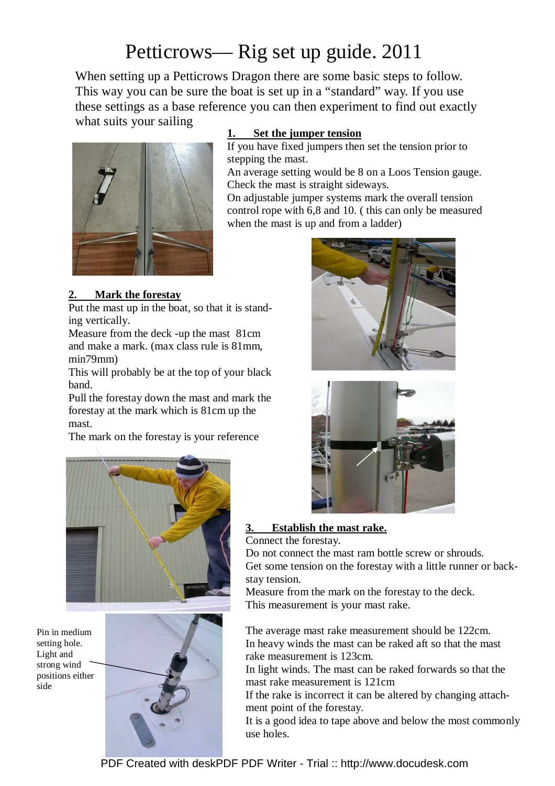# Petticrows— Rig set up guide. 2011

When setting up a Petticrows Dragon there are some basic steps to follow. This way you can be sure the boat is set up in a "standard" way. If you use these settings as a base reference you can then experiment to find out exactly what suits your sailing



### **1. Set the jumper tension**

If you have fixed jumpers then set the tension prior to stepping the mast.

An average setting would be 8 on a Loos Tension gauge. Check the mast is straight sideways.

On adjustable jumper systems mark the overall tension control rope with 6,8 and 10. ( this can only be measured when the mast is up and from a ladder)





**3. Establish the mast rake.** Connect the forestay.

Do not connect the mast ram bottle screw or shrouds. Get some tension on the forestay with a little runner or backstay tension.

Measure from the mark on the forestay to the deck. This measurement is your mast rake.

The average mast rake measurement should be 122cm. In heavy winds the mast can be raked aft so that the mast rake measurement is 123cm.

In light winds. The mast can be raked forwards so that the mast rake measurement is 121cm

If the rake is incorrect it can be altered by changing attachment point of the forestay.

It is a good idea to tape above and below the most commonly use holes.

# **2. Mark the forestay**

Put the mast up in the boat, so that it is standing vertically.

Measure from the deck -up the mast 81cm and make a mark. (max class rule is 81mm, min79mm)

This will probably be at the top of your black band.

Pull the forestay down the mast and mark the forestay at the mark which is 81cm up the mast.

The mark on the forestay is your reference



Pin in medium setting hole. Light and strong wind positions either side

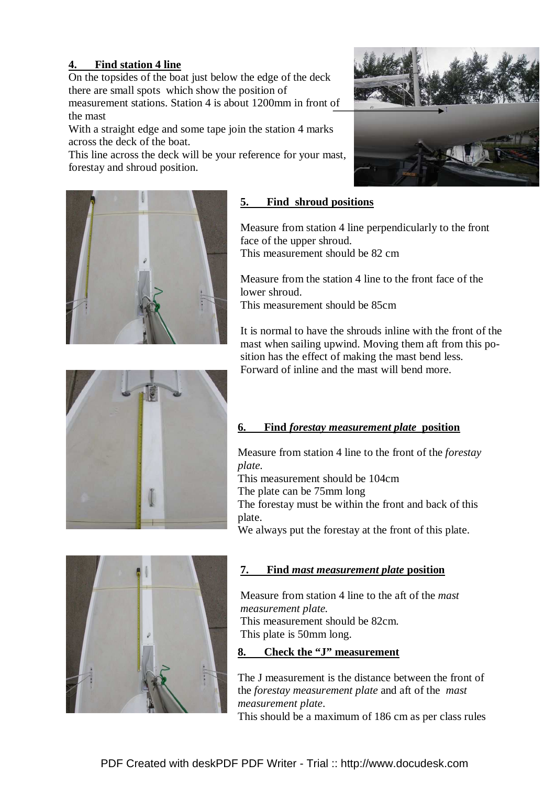# **4. Find station 4 line**

On the topsides of the boat just below the edge of the deck there are small spots which show the position of

measurement stations. Station 4 is about 1200mm in front of the mast

With a straight edge and some tape join the station 4 marks across the deck of the boat.

This line across the deck will be your reference for your mast, forestay and shroud position.





# **5. Find shroud positions**

Measure from station 4 line perpendicularly to the front face of the upper shroud. This measurement should be 82 cm

Measure from the station 4 line to the front face of the lower shroud.

This measurement should be 85cm

It is normal to have the shrouds inline with the front of the mast when sailing upwind. Moving them aft from this position has the effect of making the mast bend less. Forward of inline and the mast will bend more.



# **6. Find** *forestay measurement plate* **position**

Measure from station 4 line to the front of the *forestay plate.* 

This measurement should be 104cm

The plate can be 75mm long

The forestay must be within the front and back of this plate.

We always put the forestay at the front of this plate.



# **7. Find** *mast measurement plate* **position**

Measure from station 4 line to the aft of the *mast measurement plate.* 

This measurement should be 82cm. This plate is 50mm long.

### **8. Check the "J" measurement**

The J measurement is the distance between the front of the *forestay measurement plate* and aft of the *mast measurement plate*.

This should be a maximum of 186 cm as per class rules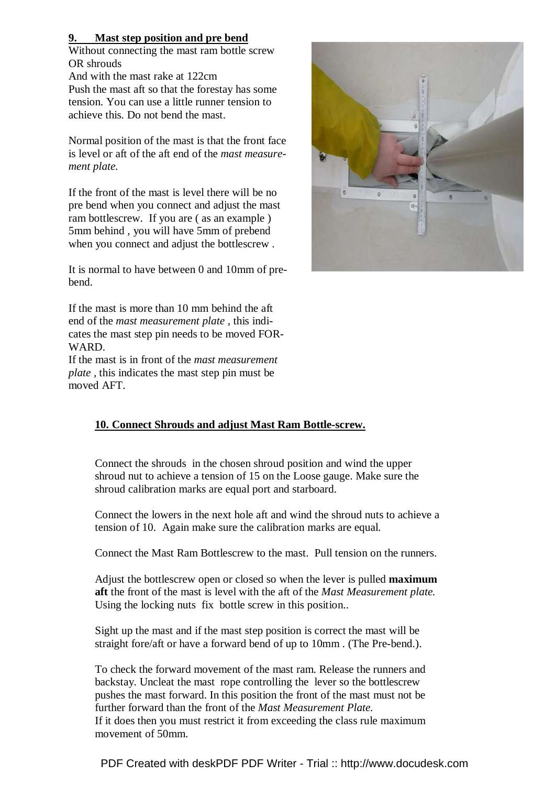#### **9. Mast step position and pre bend**

Without connecting the mast ram bottle screw OR shrouds

And with the mast rake at 122cm Push the mast aft so that the forestay has some tension. You can use a little runner tension to achieve this. Do not bend the mast.

Normal position of the mast is that the front face is level or aft of the aft end of the *mast measurement plate.* 

If the front of the mast is level there will be no pre bend when you connect and adjust the mast ram bottlescrew. If you are ( as an example ) 5mm behind , you will have 5mm of prebend when you connect and adjust the bottlescrew .

It is normal to have between 0 and 10mm of prebend.

If the mast is more than 10 mm behind the aft end of the *mast measurement plate ,* this indicates the mast step pin needs to be moved FOR-WARD.

If the mast is in front of the *mast measurement plate ,* this indicates the mast step pin must be moved AFT.

# **10. Connect Shrouds and adjust Mast Ram Bottle-screw.**

Connect the shrouds in the chosen shroud position and wind the upper shroud nut to achieve a tension of 15 on the Loose gauge. Make sure the shroud calibration marks are equal port and starboard.

Connect the lowers in the next hole aft and wind the shroud nuts to achieve a tension of 10. Again make sure the calibration marks are equal.

Connect the Mast Ram Bottlescrew to the mast. Pull tension on the runners.

Adjust the bottlescrew open or closed so when the lever is pulled **maximum aft** the front of the mast is level with the aft of the *Mast Measurement plate.*  Using the locking nuts fix bottle screw in this position..

Sight up the mast and if the mast step position is correct the mast will be straight fore/aft or have a forward bend of up to 10mm . (The Pre-bend.).

To check the forward movement of the mast ram. Release the runners and backstay. Uncleat the mast rope controlling the lever so the bottlescrew pushes the mast forward. In this position the front of the mast must not be further forward than the front of the *Mast Measurement Plate.*  If it does then you must restrict it from exceeding the class rule maximum movement of 50mm.

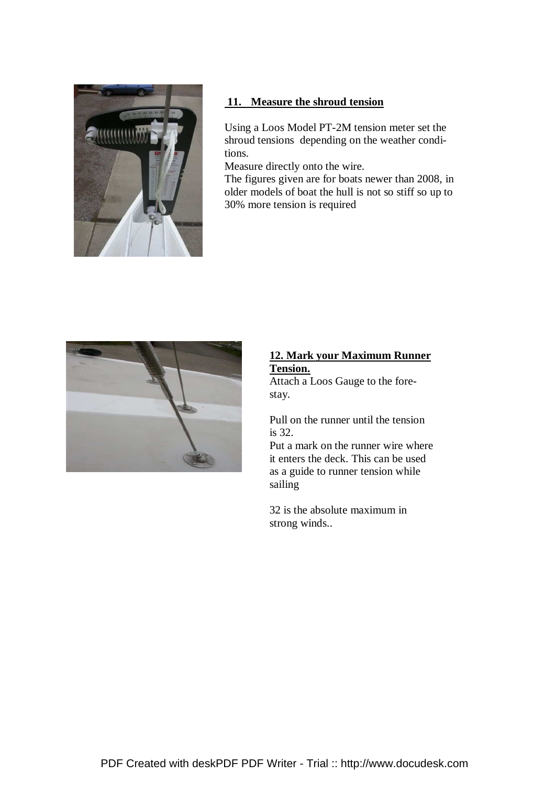

#### **11. Measure the shroud tension**

Using a Loos Model PT-2M tension meter set the shroud tensions depending on the weather conditions.

Measure directly onto the wire.

The figures given are for boats newer than 2008, in older models of boat the hull is not so stiff so up to 30% more tension is required



### **12. Mark your Maximum Runner Tension.**

Attach a Loos Gauge to the forestay.

Pull on the runner until the tension is 32.

Put a mark on the runner wire where it enters the deck. This can be used as a guide to runner tension while sailing

32 is the absolute maximum in strong winds..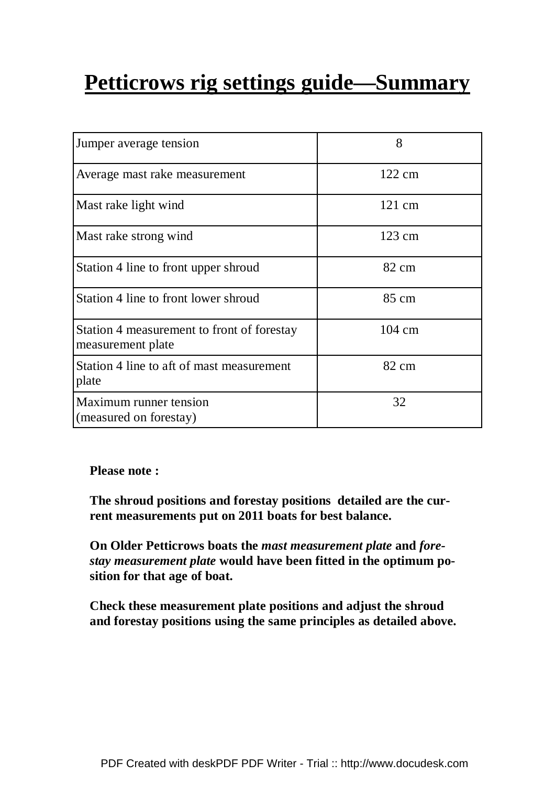# **Petticrows rig settings guide—Summary**

| Jumper average tension                                          | 8                |
|-----------------------------------------------------------------|------------------|
| Average mast rake measurement                                   | $122 \text{ cm}$ |
| Mast rake light wind                                            | $121 \text{ cm}$ |
| Mast rake strong wind                                           | $123 \text{ cm}$ |
| Station 4 line to front upper shroud                            | 82 cm            |
| Station 4 line to front lower shroud                            | 85 cm            |
| Station 4 measurement to front of forestay<br>measurement plate | 104 cm           |
| Station 4 line to aft of mast measurement<br>plate              | 82 cm            |
| Maximum runner tension<br>(measured on forestay)                | 32               |

# **Please note :**

**The shroud positions and forestay positions detailed are the current measurements put on 2011 boats for best balance.** 

**On Older Petticrows boats the** *mast measurement plate* **and** *forestay measurement plate* **would have been fitted in the optimum position for that age of boat.** 

**Check these measurement plate positions and adjust the shroud and forestay positions using the same principles as detailed above.**